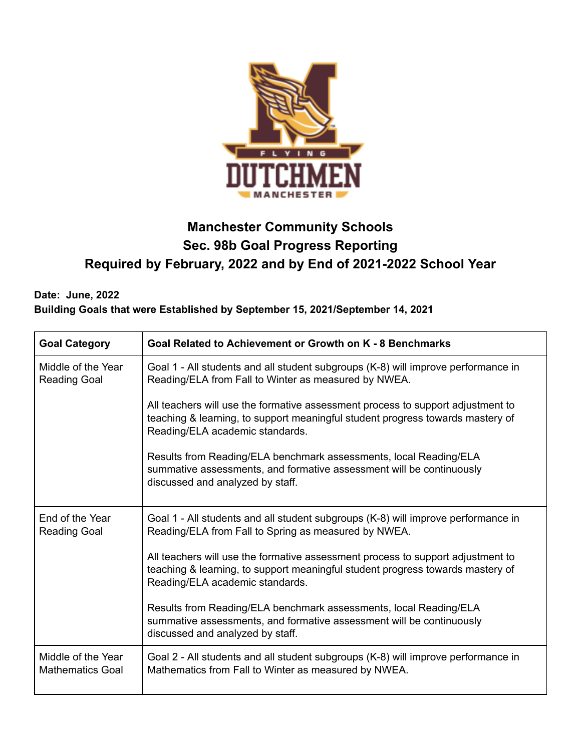

# **Manchester Community Schools Sec. 98b Goal Progress Reporting Required by February, 2022 and by End of 2021-2022 School Year**

## **Date: June, 2022 Building Goals that were Established by September 15, 2021/September 14, 2021**

| <b>Goal Category</b>                          | Goal Related to Achievement or Growth on K - 8 Benchmarks                                                                                                                                            |  |  |  |
|-----------------------------------------------|------------------------------------------------------------------------------------------------------------------------------------------------------------------------------------------------------|--|--|--|
| Middle of the Year<br><b>Reading Goal</b>     | Goal 1 - All students and all student subgroups (K-8) will improve performance in<br>Reading/ELA from Fall to Winter as measured by NWEA.                                                            |  |  |  |
|                                               | All teachers will use the formative assessment process to support adjustment to<br>teaching & learning, to support meaningful student progress towards mastery of<br>Reading/ELA academic standards. |  |  |  |
|                                               | Results from Reading/ELA benchmark assessments, local Reading/ELA<br>summative assessments, and formative assessment will be continuously<br>discussed and analyzed by staff.                        |  |  |  |
| End of the Year<br><b>Reading Goal</b>        | Goal 1 - All students and all student subgroups (K-8) will improve performance in<br>Reading/ELA from Fall to Spring as measured by NWEA.                                                            |  |  |  |
|                                               | All teachers will use the formative assessment process to support adjustment to<br>teaching & learning, to support meaningful student progress towards mastery of<br>Reading/ELA academic standards. |  |  |  |
|                                               | Results from Reading/ELA benchmark assessments, local Reading/ELA<br>summative assessments, and formative assessment will be continuously<br>discussed and analyzed by staff.                        |  |  |  |
| Middle of the Year<br><b>Mathematics Goal</b> | Goal 2 - All students and all student subgroups (K-8) will improve performance in<br>Mathematics from Fall to Winter as measured by NWEA.                                                            |  |  |  |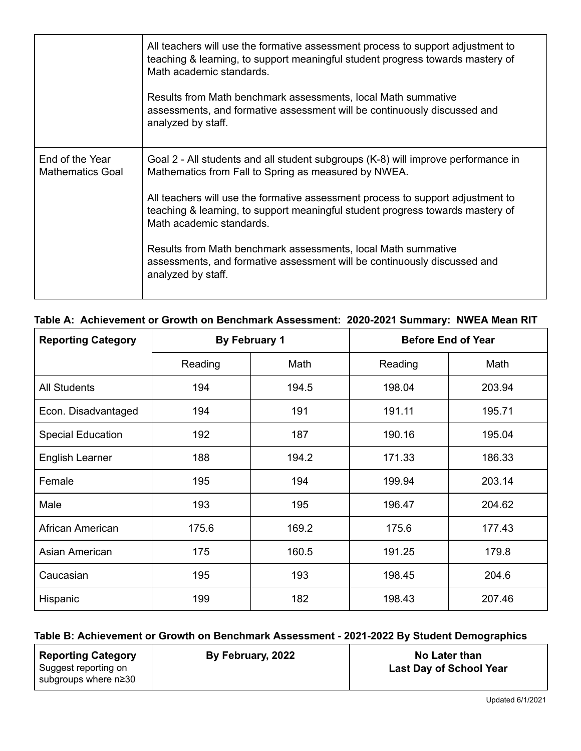|                                            | All teachers will use the formative assessment process to support adjustment to<br>teaching & learning, to support meaningful student progress towards mastery of<br>Math academic standards.<br>Results from Math benchmark assessments, local Math summative<br>assessments, and formative assessment will be continuously discussed and<br>analyzed by staff.                                                                                                                        |
|--------------------------------------------|-----------------------------------------------------------------------------------------------------------------------------------------------------------------------------------------------------------------------------------------------------------------------------------------------------------------------------------------------------------------------------------------------------------------------------------------------------------------------------------------|
| End of the Year<br><b>Mathematics Goal</b> | Goal 2 - All students and all student subgroups (K-8) will improve performance in<br>Mathematics from Fall to Spring as measured by NWEA.<br>All teachers will use the formative assessment process to support adjustment to<br>teaching & learning, to support meaningful student progress towards mastery of<br>Math academic standards.<br>Results from Math benchmark assessments, local Math summative<br>assessments, and formative assessment will be continuously discussed and |
|                                            | analyzed by staff.                                                                                                                                                                                                                                                                                                                                                                                                                                                                      |

### **Table A: Achievement or Growth on Benchmark Assessment: 2020-2021 Summary: NWEA Mean RIT**

| <b>Reporting Category</b> | By February 1 |       |         | <b>Before End of Year</b> |
|---------------------------|---------------|-------|---------|---------------------------|
|                           | Reading       | Math  | Reading | Math                      |
| <b>All Students</b>       | 194           | 194.5 | 198.04  | 203.94                    |
| Econ. Disadvantaged       | 194           | 191   | 191.11  | 195.71                    |
| <b>Special Education</b>  | 192           | 187   | 190.16  | 195.04                    |
| English Learner           | 188           | 194.2 | 171.33  | 186.33                    |
| Female                    | 195           | 194   | 199.94  | 203.14                    |
| Male                      | 193           | 195   | 196.47  | 204.62                    |
| African American          | 175.6         | 169.2 | 175.6   | 177.43                    |
| Asian American            | 175           | 160.5 | 191.25  | 179.8                     |
| Caucasian                 | 195           | 193   | 198.45  | 204.6                     |
| Hispanic                  | 199           | 182   | 198.43  | 207.46                    |

#### **Table B: Achievement or Growth on Benchmark Assessment - 2021-2022 By Student Demographics**

| <b>Reporting Category</b>                    | By February, 2022 | No Later than                  |
|----------------------------------------------|-------------------|--------------------------------|
| Suggest reporting on<br>subgroups where n≥30 |                   | <b>Last Day of School Year</b> |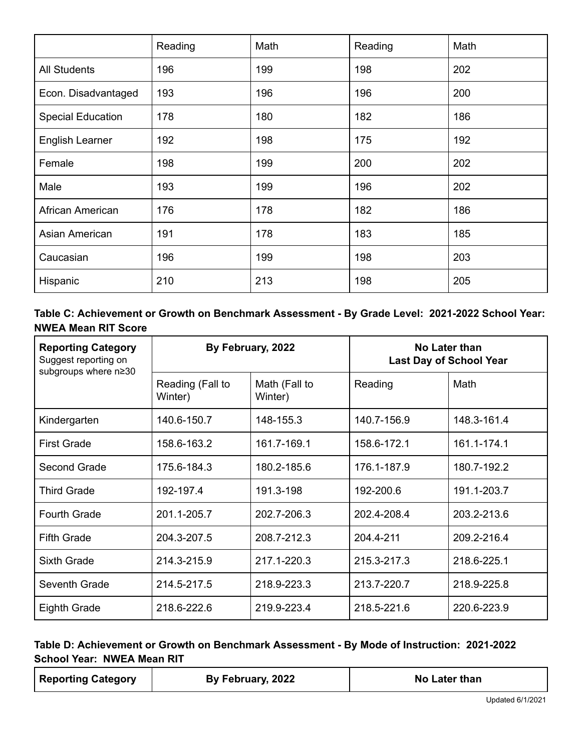|                          | Reading | Math | Reading | Math |
|--------------------------|---------|------|---------|------|
| <b>All Students</b>      | 196     | 199  | 198     | 202  |
| Econ. Disadvantaged      | 193     | 196  | 196     | 200  |
| <b>Special Education</b> | 178     | 180  | 182     | 186  |
| <b>English Learner</b>   | 192     | 198  | 175     | 192  |
| Female                   | 198     | 199  | 200     | 202  |
| Male                     | 193     | 199  | 196     | 202  |
| African American         | 176     | 178  | 182     | 186  |
| Asian American           | 191     | 178  | 183     | 185  |
| Caucasian                | 196     | 199  | 198     | 203  |
| Hispanic                 | 210     | 213  | 198     | 205  |

**Table C: Achievement or Growth on Benchmark Assessment - By Grade Level: 2021-2022 School Year: NWEA Mean RIT Score**

| <b>Reporting Category</b><br>Suggest reporting on<br>subgroups where n≥30 | By February, 2022           |                          | No Later than<br><b>Last Day of School Year</b> |             |
|---------------------------------------------------------------------------|-----------------------------|--------------------------|-------------------------------------------------|-------------|
|                                                                           | Reading (Fall to<br>Winter) | Math (Fall to<br>Winter) | Reading                                         | Math        |
| Kindergarten                                                              | 140.6-150.7                 | 148-155.3                | 140.7-156.9                                     | 148.3-161.4 |
| <b>First Grade</b>                                                        | 158.6-163.2                 | 161.7-169.1              | 158.6-172.1                                     | 161.1-174.1 |
| Second Grade                                                              | 175.6-184.3                 | 180.2-185.6              | 176.1-187.9                                     | 180.7-192.2 |
| <b>Third Grade</b>                                                        | 192-197.4                   | 191.3-198                | 192-200.6                                       | 191.1-203.7 |
| <b>Fourth Grade</b>                                                       | 201.1-205.7                 | 202.7-206.3              | 202.4-208.4                                     | 203.2-213.6 |
| <b>Fifth Grade</b>                                                        | 204.3-207.5                 | 208.7-212.3              | 204.4-211                                       | 209.2-216.4 |
| Sixth Grade                                                               | 214.3-215.9                 | 217.1-220.3              | 215.3-217.3                                     | 218.6-225.1 |
| Seventh Grade                                                             | 214.5-217.5                 | 218.9-223.3              | 213.7-220.7                                     | 218.9-225.8 |
| <b>Eighth Grade</b>                                                       | 218.6-222.6                 | 219.9-223.4              | 218.5-221.6                                     | 220.6-223.9 |

### **Table D: Achievement or Growth on Benchmark Assessment - By Mode of Instruction: 2021-2022 School Year: NWEA Mean RIT**

| <b>Reporting Category</b> | By February, 2022 | No Later than |
|---------------------------|-------------------|---------------|
|---------------------------|-------------------|---------------|